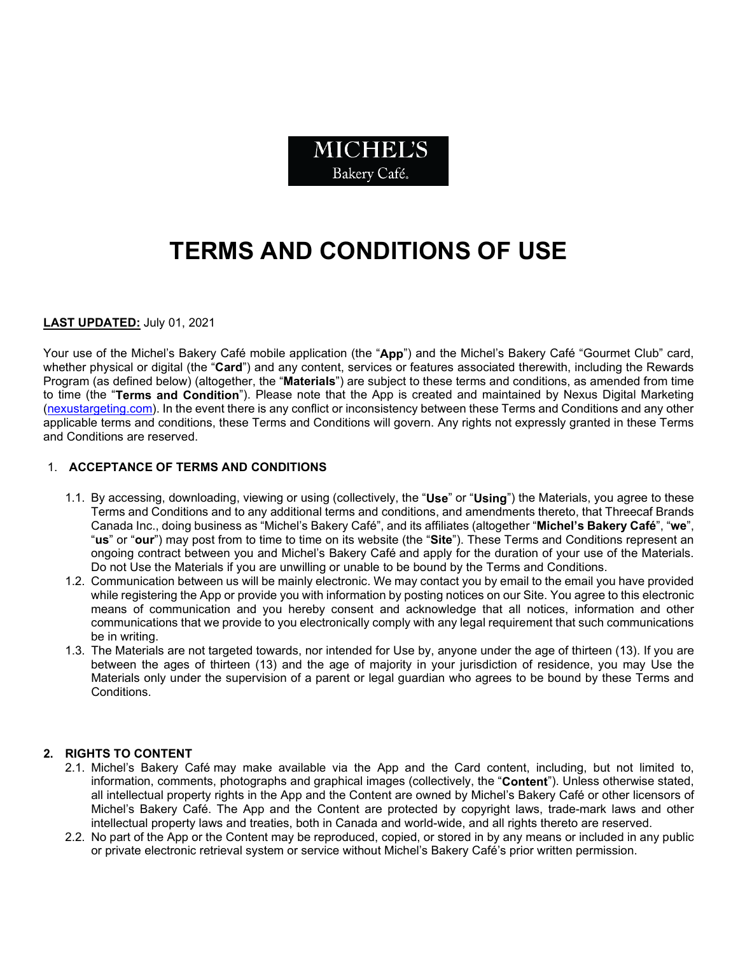

# **TERMS AND CONDITIONS OF USE**

## **LAST UPDATED:** July 01, 2021

Your use of the Michel's Bakery Café mobile application (the "**App**") and the Michel's Bakery Café "Gourmet Club" card, whether physical or digital (the "**Card**") and any content, services or features associated therewith, including the Rewards Program (as defined below) (altogether, the "**Materials**") are subject to these terms and conditions, as amended from time to time (the "**Terms and Condition**"). Please note that the App is created and maintained by Nexus Digital Marketing [\(nexustargeting.com\)](https://www.nexustargeting.com/). In the event there is any conflict or inconsistency between these Terms and Conditions and any other applicable terms and conditions, these Terms and Conditions will govern. Any rights not expressly granted in these Terms and Conditions are reserved.

## 1. **ACCEPTANCE OF TERMS AND CONDITIONS**

- 1.1. By accessing, downloading, viewing or using (collectively, the "**Use**" or "**Using**") the Materials, you agree to these Terms and Conditions and to any additional terms and conditions, and amendments thereto, that Threecaf Brands Canada Inc., doing business as "Michel's Bakery Café", and its affiliates (altogether "**Michel's Bakery Café**", "**we**", "**us**" or "**our**") may post from to time to time on its website (the "**Site**"). These Terms and Conditions represent an ongoing contract between you and Michel's Bakery Café and apply for the duration of your use of the Materials. Do not Use the Materials if you are unwilling or unable to be bound by the Terms and Conditions.
- 1.2. Communication between us will be mainly electronic. We may contact you by email to the email you have provided while registering the App or provide you with information by posting notices on our Site. You agree to this electronic means of communication and you hereby consent and acknowledge that all notices, information and other communications that we provide to you electronically comply with any legal requirement that such communications be in writing.
- 1.3. The Materials are not targeted towards, nor intended for Use by, anyone under the age of thirteen (13). If you are between the ages of thirteen (13) and the age of majority in your jurisdiction of residence, you may Use the Materials only under the supervision of a parent or legal guardian who agrees to be bound by these Terms and Conditions.

## **2. RIGHTS TO CONTENT**

- 2.1. Michel's Bakery Café may make available via the App and the Card content, including, but not limited to, information, comments, photographs and graphical images (collectively, the "**Content**"). Unless otherwise stated, all intellectual property rights in the App and the Content are owned by Michel's Bakery Café or other licensors of Michel's Bakery Café. The App and the Content are protected by copyright laws, trade-mark laws and other intellectual property laws and treaties, both in Canada and world-wide, and all rights thereto are reserved.
- 2.2. No part of the App or the Content may be reproduced, copied, or stored in by any means or included in any public or private electronic retrieval system or service without Michel's Bakery Café's prior written permission.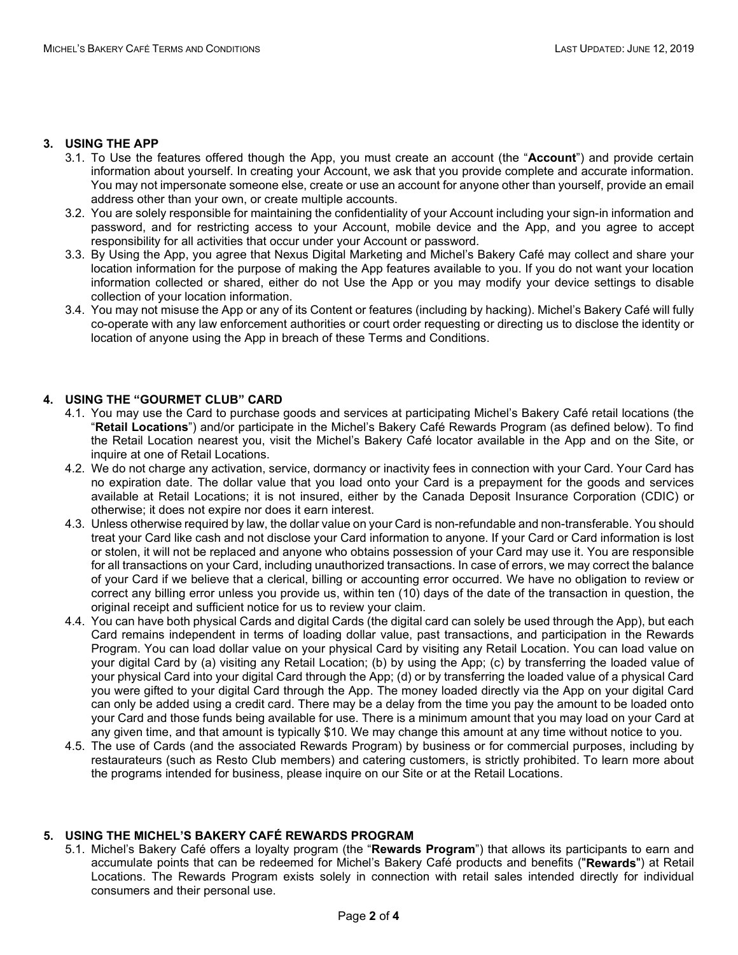#### **3. USING THE APP**

- 3.1. To Use the features offered though the App, you must create an account (the "**Account**") and provide certain information about yourself. In creating your Account, we ask that you provide complete and accurate information. You may not impersonate someone else, create or use an account for anyone other than yourself, provide an email address other than your own, or create multiple accounts.
- 3.2. You are solely responsible for maintaining the confidentiality of your Account including your sign-in information and password, and for restricting access to your Account, mobile device and the App, and you agree to accept responsibility for all activities that occur under your Account or password.
- 3.3. By Using the App, you agree that Nexus Digital Marketing and Michel's Bakery Café may collect and share your location information for the purpose of making the App features available to you. If you do not want your location information collected or shared, either do not Use the App or you may modify your device settings to disable collection of your location information.
- 3.4. You may not misuse the App or any of its Content or features (including by hacking). Michel's Bakery Café will fully co-operate with any law enforcement authorities or court order requesting or directing us to disclose the identity or location of anyone using the App in breach of these Terms and Conditions.

# **4. USING THE "GOURMET CLUB" CARD**

- 4.1. You may use the Card to purchase goods and services at participating Michel's Bakery Café retail locations (the "**Retail Locations**") and/or participate in the Michel's Bakery Café Rewards Program (as defined below). To find the Retail Location nearest you, visit the Michel's Bakery Café locator available in the App and on the Site, or inquire at one of Retail Locations.
- 4.2. We do not charge any activation, service, dormancy or inactivity fees in connection with your Card. Your Card has no expiration date. The dollar value that you load onto your Card is a prepayment for the goods and services available at Retail Locations; it is not insured, either by the Canada Deposit Insurance Corporation (CDIC) or otherwise; it does not expire nor does it earn interest.
- 4.3. Unless otherwise required by law, the dollar value on your Card is non-refundable and non-transferable. You should treat your Card like cash and not disclose your Card information to anyone. If your Card or Card information is lost or stolen, it will not be replaced and anyone who obtains possession of your Card may use it. You are responsible for all transactions on your Card, including unauthorized transactions. In case of errors, we may correct the balance of your Card if we believe that a clerical, billing or accounting error occurred. We have no obligation to review or correct any billing error unless you provide us, within ten (10) days of the date of the transaction in question, the original receipt and sufficient notice for us to review your claim.
- 4.4. You can have both physical Cards and digital Cards (the digital card can solely be used through the App), but each Card remains independent in terms of loading dollar value, past transactions, and participation in the Rewards Program. You can load dollar value on your physical Card by visiting any Retail Location. You can load value on your digital Card by (a) visiting any Retail Location; (b) by using the App; (c) by transferring the loaded value of your physical Card into your digital Card through the App; (d) or by transferring the loaded value of a physical Card you were gifted to your digital Card through the App. The money loaded directly via the App on your digital Card can only be added using a credit card. There may be a delay from the time you pay the amount to be loaded onto your Card and those funds being available for use. There is a minimum amount that you may load on your Card at any given time, and that amount is typically \$10. We may change this amount at any time without notice to you.
- 4.5. The use of Cards (and the associated Rewards Program) by business or for commercial purposes, including by restaurateurs (such as Resto Club members) and catering customers, is strictly prohibited. To learn more about the programs intended for business, please inquire on our Site or at the Retail Locations.

## **5. USING THE MICHEL'S BAKERY CAFÉ REWARDS PROGRAM**

5.1. Michel's Bakery Café offers a loyalty program (the "**Rewards Program**") that allows its participants to earn and accumulate points that can be redeemed for Michel's Bakery Café products and benefits ("**Rewards**") at Retail Locations. The Rewards Program exists solely in connection with retail sales intended directly for individual consumers and their personal use.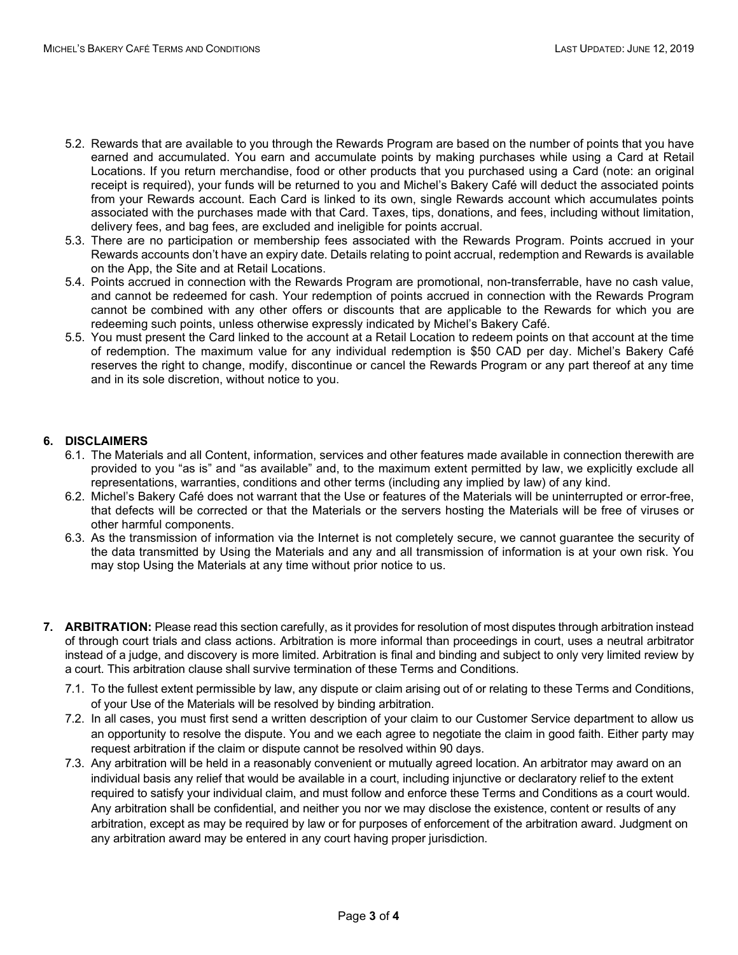- 5.2. Rewards that are available to you through the Rewards Program are based on the number of points that you have earned and accumulated. You earn and accumulate points by making purchases while using a Card at Retail Locations. If you return merchandise, food or other products that you purchased using a Card (note: an original receipt is required), your funds will be returned to you and Michel's Bakery Café will deduct the associated points from your Rewards account. Each Card is linked to its own, single Rewards account which accumulates points associated with the purchases made with that Card. Taxes, tips, donations, and fees, including without limitation, delivery fees, and bag fees, are excluded and ineligible for points accrual.
- 5.3. There are no participation or membership fees associated with the Rewards Program. Points accrued in your Rewards accounts don't have an expiry date. Details relating to point accrual, redemption and Rewards is available on the App, the Site and at Retail Locations.
- 5.4. Points accrued in connection with the Rewards Program are promotional, non-transferrable, have no cash value, and cannot be redeemed for cash. Your redemption of points accrued in connection with the Rewards Program cannot be combined with any other offers or discounts that are applicable to the Rewards for which you are redeeming such points, unless otherwise expressly indicated by Michel's Bakery Café.
- 5.5. You must present the Card linked to the account at a Retail Location to redeem points on that account at the time of redemption. The maximum value for any individual redemption is \$50 CAD per day. Michel's Bakery Café reserves the right to change, modify, discontinue or cancel the Rewards Program or any part thereof at any time and in its sole discretion, without notice to you.

# **6. DISCLAIMERS**

- 6.1. The Materials and all Content, information, services and other features made available in connection therewith are provided to you "as is" and "as available" and, to the maximum extent permitted by law, we explicitly exclude all representations, warranties, conditions and other terms (including any implied by law) of any kind.
- 6.2. Michel's Bakery Café does not warrant that the Use or features of the Materials will be uninterrupted or error-free, that defects will be corrected or that the Materials or the servers hosting the Materials will be free of viruses or other harmful components.
- 6.3. As the transmission of information via the Internet is not completely secure, we cannot guarantee the security of the data transmitted by Using the Materials and any and all transmission of information is at your own risk. You may stop Using the Materials at any time without prior notice to us.
- **7. ARBITRATION:** Please read this section carefully, as it provides for resolution of most disputes through arbitration instead of through court trials and class actions. Arbitration is more informal than proceedings in court, uses a neutral arbitrator instead of a judge, and discovery is more limited. Arbitration is final and binding and subject to only very limited review by a court. This arbitration clause shall survive termination of these Terms and Conditions.
	- 7.1. To the fullest extent permissible by law, any dispute or claim arising out of or relating to these Terms and Conditions, of your Use of the Materials will be resolved by binding arbitration.
	- 7.2. In all cases, you must first send a written description of your claim to our Customer Service department to allow us an opportunity to resolve the dispute. You and we each agree to negotiate the claim in good faith. Either party may request arbitration if the claim or dispute cannot be resolved within 90 days.
	- 7.3. Any arbitration will be held in a reasonably convenient or mutually agreed location. An arbitrator may award on an individual basis any relief that would be available in a court, including injunctive or declaratory relief to the extent required to satisfy your individual claim, and must follow and enforce these Terms and Conditions as a court would. Any arbitration shall be confidential, and neither you nor we may disclose the existence, content or results of any arbitration, except as may be required by law or for purposes of enforcement of the arbitration award. Judgment on any arbitration award may be entered in any court having proper jurisdiction.